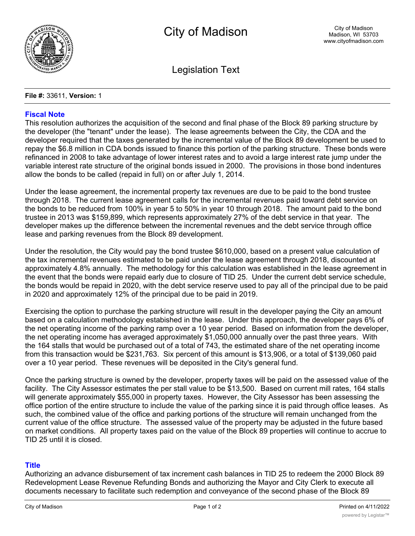

Legislation Text

## **File #:** 33611, **Version:** 1

## **Fiscal Note**

This resolution authorizes the acquisition of the second and final phase of the Block 89 parking structure by the developer (the "tenant" under the lease). The lease agreements between the City, the CDA and the developer required that the taxes generated by the incremental value of the Block 89 development be used to repay the \$6.8 million in CDA bonds issued to finance this portion of the parking structure. These bonds were refinanced in 2008 to take advantage of lower interest rates and to avoid a large interest rate jump under the variable interest rate structure of the original bonds issued in 2000. The provisions in those bond indentures allow the bonds to be called (repaid in full) on or after July 1, 2014.

Under the lease agreement, the incremental property tax revenues are due to be paid to the bond trustee through 2018. The current lease agreement calls for the incremental revenues paid toward debt service on the bonds to be reduced from 100% in year 5 to 50% in year 10 through 2018. The amount paid to the bond trustee in 2013 was \$159,899, which represents approximately 27% of the debt service in that year. The developer makes up the difference between the incremental revenues and the debt service through office lease and parking revenues from the Block 89 development.

Under the resolution, the City would pay the bond trustee \$610,000, based on a present value calculation of the tax incremental revenues estimated to be paid under the lease agreement through 2018, discounted at approximately 4.8% annually. The methodology for this calculation was established in the lease agreement in the event that the bonds were repaid early due to closure of TID 25. Under the current debt service schedule, the bonds would be repaid in 2020, with the debt service reserve used to pay all of the principal due to be paid in 2020 and approximately 12% of the principal due to be paid in 2019.

Exercising the option to purchase the parking structure will result in the developer paying the City an amount based on a calculation methodology estabished in the lease. Under this approach, the developer pays 6% of the net operating income of the parking ramp over a 10 year period. Based on information from the developer, the net operating income has averaged approximately \$1,050,000 annually over the past three years. With the 164 stalls that would be purchased out of a total of 743, the estimated share of the net operating income from this transaction would be \$231,763. Six percent of this amount is \$13,906, or a total of \$139,060 paid over a 10 year period. These revenues will be deposited in the City's general fund.

Once the parking structure is owned by the developer, property taxes will be paid on the assessed value of the facility. The City Assessor estimates the per stall value to be \$13,500. Based on current mill rates, 164 stalls will generate approximately \$55,000 in property taxes. However, the City Assessor has been assessing the office portion of the entire structure to include the value of the parking since it is paid through office leases. As such, the combined value of the office and parking portions of the structure will remain unchanged from the current value of the office structure. The assessed value of the property may be adjusted in the future based on market conditions. All property taxes paid on the value of the Block 89 properties will continue to accrue to TID 25 until it is closed.

## **Title**

Authorizing an advance disbursement of tax increment cash balances in TID 25 to redeem the 2000 Block 89 Redevelopment Lease Revenue Refunding Bonds and authorizing the Mayor and City Clerk to execute all documents necessary to facilitate such redemption and conveyance of the second phase of the Block 89